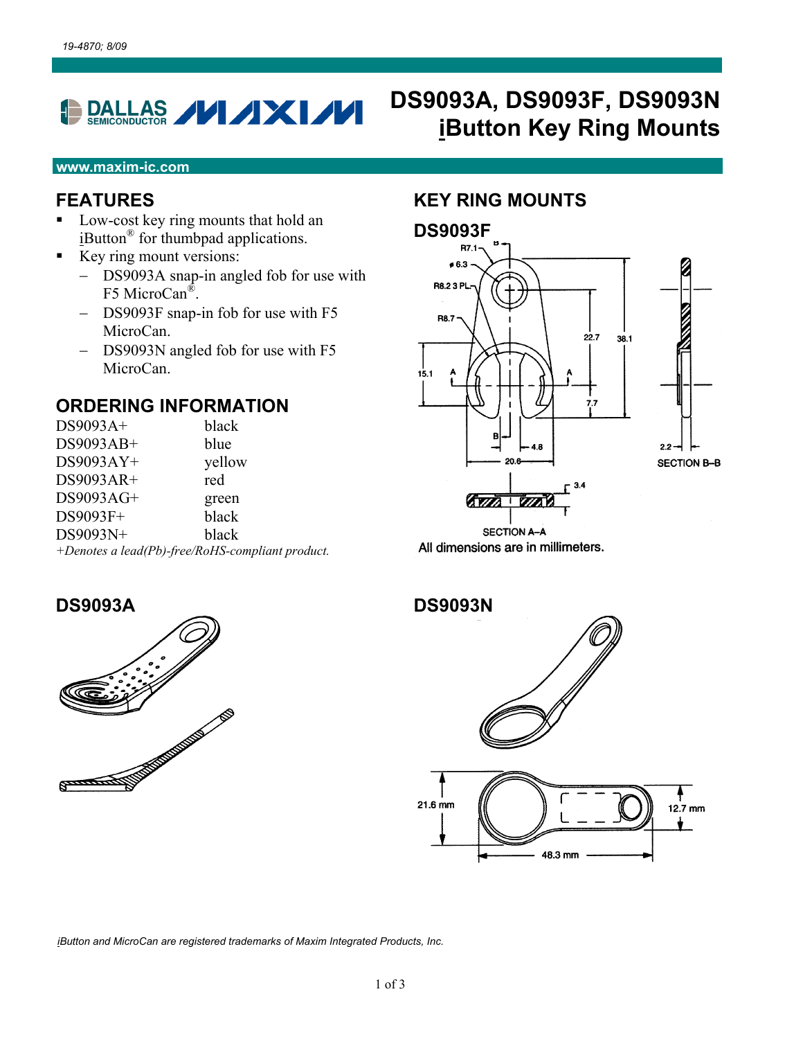## DALLAS **// /XI//** Đ

# **DS9093A, DS9093F , DS9093N iButton Key Ring Mounts**

#### **www.maxim-ic.com**

# **FEATURES**

- Low-cost key ring mounts that hold an iButton® for thumbpad applications.
- $\blacksquare$  Key ring mount versions:
	- DS9093A snap-in angled fob for use with F5 MicroCan®.
	- DS9093F snap-in fob for use with F5 MicroCan.
	- $-$  DS9093N angled fob for use with F5 MicroCan.

#### **ORDERING INFORMATION**

| DS9093A+                                         | black  |  |
|--------------------------------------------------|--------|--|
| $DS9093AB+$                                      | blue   |  |
| $DS9093AY+$                                      | yellow |  |
| $DS9093AR+$                                      | red    |  |
| DS9093AG+                                        | green  |  |
| DS9093F+                                         | black  |  |
| DS9093N+                                         | black  |  |
| +Denotes a lead(Pb)-free/RoHS-compliant product. |        |  |

## **KEY RING MOUNTS**







*iButton and MicroCan are registered trademarks of Maxim Integrated Products, Inc.* 

**DS9093A** 

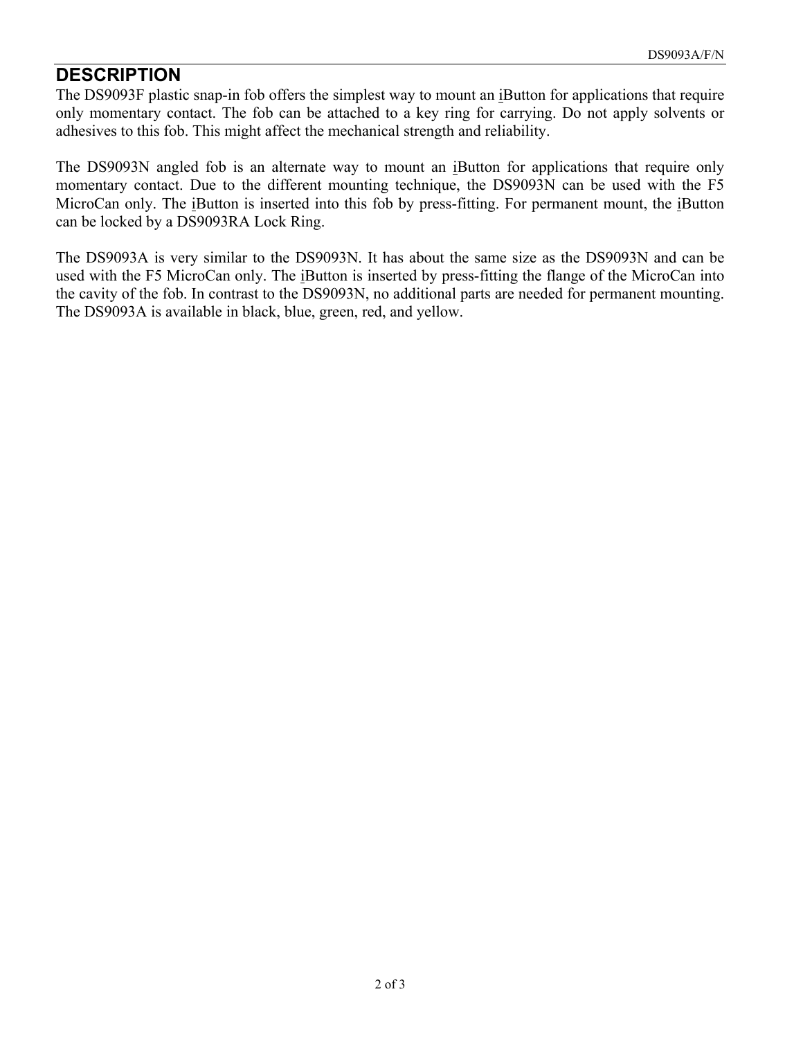## **DESCRIPTION**

The DS9093F plastic snap-in fob offers the simplest way to mount an iButton for applications that require only momentary contact. The fob can be attached to a key rin g for carrying. Do not apply solvents or adhesives to this fob. This might affect the mechanical strength and reliability.

The DS9093N angled fob is an alternate way to mount an iButton for applications that require only momentary contact. Due to the d ifferent mounting technique, the DS9093N can be used with the F5 MicroCan only. The iButton is inserted into this fob by press-fitting. For permanent mount, the iButton can be locked by a DS9093RA Lock Ring.

The DS9093A is very similar to the DS9093N. It has about the same size as the DS9093N and can be used with the F5 MicroCan only. The iButton is inserted by press-fitting the flange of the MicroCan into the cavity of the fob. In contrast to the DS9093N, no additional parts are needed for permanent mounting. The DS9093A is available in black, blue, green, red, and yellow.